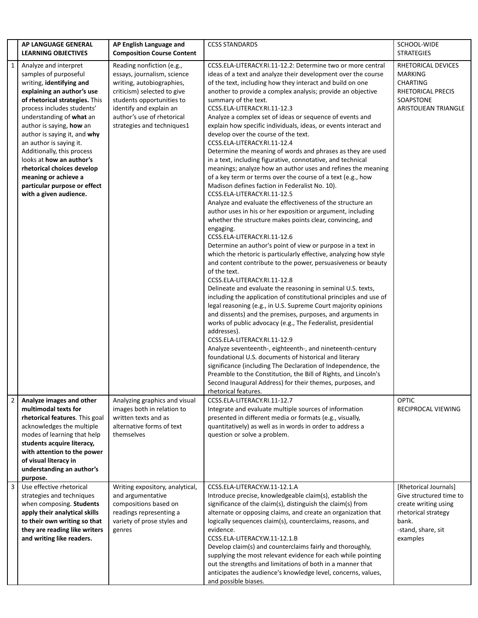|   | AP LANGUAGE GENERAL                                                                                                                                                                                                                                                                                                                                     | AP English Language and                                                                                                                                                                                                                                                       | <b>CCSS STANDARDS</b>                                                                                                                                                                                                                                                                                                                                                                                                                                                                                                                                                                                                                                                                                                                                                                                                                                                                                                                                                                                                                                                                                                                                                                                                                                                                                                                                                                                                                                                                                      | SCHOOL-WIDE                                                                                                                                   |
|---|---------------------------------------------------------------------------------------------------------------------------------------------------------------------------------------------------------------------------------------------------------------------------------------------------------------------------------------------------------|-------------------------------------------------------------------------------------------------------------------------------------------------------------------------------------------------------------------------------------------------------------------------------|------------------------------------------------------------------------------------------------------------------------------------------------------------------------------------------------------------------------------------------------------------------------------------------------------------------------------------------------------------------------------------------------------------------------------------------------------------------------------------------------------------------------------------------------------------------------------------------------------------------------------------------------------------------------------------------------------------------------------------------------------------------------------------------------------------------------------------------------------------------------------------------------------------------------------------------------------------------------------------------------------------------------------------------------------------------------------------------------------------------------------------------------------------------------------------------------------------------------------------------------------------------------------------------------------------------------------------------------------------------------------------------------------------------------------------------------------------------------------------------------------------|-----------------------------------------------------------------------------------------------------------------------------------------------|
| 1 | <b>LEARNING OBJECTIVES</b><br>Analyze and interpret<br>samples of purposeful<br>writing, identifying and<br>explaining an author's use<br>of rhetorical strategies. This<br>process includes students'<br>understanding of what an<br>author is saying, how an<br>author is saying it, and why<br>an author is saying it.<br>Additionally, this process | <b>Composition Course Content</b><br>Reading nonfiction (e.g.,<br>essays, journalism, science<br>writing, autobiographies,<br>criticism) selected to give<br>students opportunities to<br>identify and explain an<br>author's use of rhetorical<br>strategies and techniques1 | CCSS.ELA-LITERACY.RI.11-12.2: Determine two or more central<br>ideas of a text and analyze their development over the course<br>of the text, including how they interact and build on one<br>another to provide a complex analysis; provide an objective<br>summary of the text.<br>CCSS.ELA-LITERACY.RI.11-12.3<br>Analyze a complex set of ideas or sequence of events and<br>explain how specific individuals, ideas, or events interact and<br>develop over the course of the text.<br>CCSS.ELA-LITERACY.RI.11-12.4<br>Determine the meaning of words and phrases as they are used                                                                                                                                                                                                                                                                                                                                                                                                                                                                                                                                                                                                                                                                                                                                                                                                                                                                                                                     | <b>STRATEGIES</b><br>RHETORICAL DEVICES<br><b>MARKING</b><br><b>CHARTING</b><br><b>RHETORICAL PRECIS</b><br>SOAPSTONE<br>ARISTOLIEAN TRIANGLE |
|   | looks at how an author's<br>rhetorical choices develop<br>meaning or achieve a<br>particular purpose or effect<br>with a given audience.                                                                                                                                                                                                                |                                                                                                                                                                                                                                                                               | in a text, including figurative, connotative, and technical<br>meanings; analyze how an author uses and refines the meaning<br>of a key term or terms over the course of a text (e.g., how<br>Madison defines faction in Federalist No. 10).<br>CCSS.ELA-LITERACY.RI.11-12.5<br>Analyze and evaluate the effectiveness of the structure an<br>author uses in his or her exposition or argument, including<br>whether the structure makes points clear, convincing, and<br>engaging.<br>CCSS.ELA-LITERACY.RI.11-12.6<br>Determine an author's point of view or purpose in a text in<br>which the rhetoric is particularly effective, analyzing how style<br>and content contribute to the power, persuasiveness or beauty<br>of the text.<br>CCSS.ELA-LITERACY.RI.11-12.8<br>Delineate and evaluate the reasoning in seminal U.S. texts,<br>including the application of constitutional principles and use of<br>legal reasoning (e.g., in U.S. Supreme Court majority opinions<br>and dissents) and the premises, purposes, and arguments in<br>works of public advocacy (e.g., The Federalist, presidential<br>addresses).<br>CCSS.ELA-LITERACY.RI.11-12.9<br>Analyze seventeenth-, eighteenth-, and nineteenth-century<br>foundational U.S. documents of historical and literary<br>significance (including The Declaration of Independence, the<br>Preamble to the Constitution, the Bill of Rights, and Lincoln's<br>Second Inaugural Address) for their themes, purposes, and<br>rhetorical features. |                                                                                                                                               |
| 2 | Analyze images and other<br>multimodal texts for<br>rhetorical features. This goal<br>acknowledges the multiple<br>modes of learning that help<br>students acquire literacy,<br>with attention to the power<br>of visual literacy in<br>understanding an author's<br>purpose.                                                                           | Analyzing graphics and visual<br>images both in relation to<br>written texts and as<br>alternative forms of text<br>themselves                                                                                                                                                | CCSS.ELA-LITERACY.RI.11-12.7<br>Integrate and evaluate multiple sources of information<br>presented in different media or formats (e.g., visually,<br>quantitatively) as well as in words in order to address a<br>question or solve a problem.                                                                                                                                                                                                                                                                                                                                                                                                                                                                                                                                                                                                                                                                                                                                                                                                                                                                                                                                                                                                                                                                                                                                                                                                                                                            | <b>OPTIC</b><br>RECIPROCAL VIEWING                                                                                                            |
| 3 | Use effective rhetorical<br>strategies and techniques<br>when composing. Students<br>apply their analytical skills<br>to their own writing so that<br>they are reading like writers<br>and writing like readers.                                                                                                                                        | Writing expository, analytical,<br>and argumentative<br>compositions based on<br>readings representing a<br>variety of prose styles and<br>genres                                                                                                                             | CCSS.ELA-LITERACY.W.11-12.1.A<br>Introduce precise, knowledgeable claim(s), establish the<br>significance of the claim(s), distinguish the claim(s) from<br>alternate or opposing claims, and create an organization that<br>logically sequences claim(s), counterclaims, reasons, and<br>evidence.<br>CCSS.ELA-LITERACY.W.11-12.1.B<br>Develop claim(s) and counterclaims fairly and thoroughly,<br>supplying the most relevant evidence for each while pointing<br>out the strengths and limitations of both in a manner that<br>anticipates the audience's knowledge level, concerns, values,<br>and possible biases.                                                                                                                                                                                                                                                                                                                                                                                                                                                                                                                                                                                                                                                                                                                                                                                                                                                                                   | [Rhetorical Journals]<br>Give structured time to<br>create writing using<br>rhetorical strategy<br>bank.<br>-stand, share, sit<br>examples    |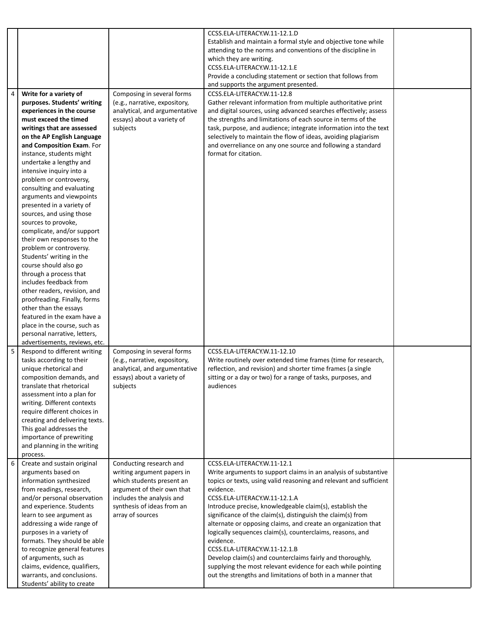|   |                                                                                                                                                                                                                                                                                                                                                                                                                                                                                                                                                                                                                                                                                                                                                                                                                                                     |                                                                                                                                                                                                 | CCSS.ELA-LITERACY.W.11-12.1.D<br>Establish and maintain a formal style and objective tone while<br>attending to the norms and conventions of the discipline in<br>which they are writing.<br>CCSS.ELA-LITERACY.W.11-12.1.E                                                                                                                                                                                                                                                                                                                                                                                                                                                                                           |  |
|---|-----------------------------------------------------------------------------------------------------------------------------------------------------------------------------------------------------------------------------------------------------------------------------------------------------------------------------------------------------------------------------------------------------------------------------------------------------------------------------------------------------------------------------------------------------------------------------------------------------------------------------------------------------------------------------------------------------------------------------------------------------------------------------------------------------------------------------------------------------|-------------------------------------------------------------------------------------------------------------------------------------------------------------------------------------------------|----------------------------------------------------------------------------------------------------------------------------------------------------------------------------------------------------------------------------------------------------------------------------------------------------------------------------------------------------------------------------------------------------------------------------------------------------------------------------------------------------------------------------------------------------------------------------------------------------------------------------------------------------------------------------------------------------------------------|--|
|   |                                                                                                                                                                                                                                                                                                                                                                                                                                                                                                                                                                                                                                                                                                                                                                                                                                                     |                                                                                                                                                                                                 | Provide a concluding statement or section that follows from<br>and supports the argument presented.                                                                                                                                                                                                                                                                                                                                                                                                                                                                                                                                                                                                                  |  |
| 4 | Write for a variety of<br>purposes. Students' writing<br>experiences in the course<br>must exceed the timed<br>writings that are assessed<br>on the AP English Language<br>and Composition Exam. For<br>instance, students might<br>undertake a lengthy and<br>intensive inquiry into a<br>problem or controversy,<br>consulting and evaluating<br>arguments and viewpoints<br>presented in a variety of<br>sources, and using those<br>sources to provoke,<br>complicate, and/or support<br>their own responses to the<br>problem or controversy.<br>Students' writing in the<br>course should also go<br>through a process that<br>includes feedback from<br>other readers, revision, and<br>proofreading. Finally, forms<br>other than the essays<br>featured in the exam have a<br>place in the course, such as<br>personal narrative, letters, | Composing in several forms<br>(e.g., narrative, expository,<br>analytical, and argumentative<br>essays) about a variety of<br>subjects                                                          | CCSS.ELA-LITERACY.W.11-12.8<br>Gather relevant information from multiple authoritative print<br>and digital sources, using advanced searches effectively; assess<br>the strengths and limitations of each source in terms of the<br>task, purpose, and audience; integrate information into the text<br>selectively to maintain the flow of ideas, avoiding plagiarism<br>and overreliance on any one source and following a standard<br>format for citation.                                                                                                                                                                                                                                                        |  |
| 5 | advertisements, reviews, etc.<br>Respond to different writing<br>tasks according to their<br>unique rhetorical and<br>composition demands, and<br>translate that rhetorical<br>assessment into a plan for<br>writing. Different contexts<br>require different choices in<br>creating and delivering texts.<br>This goal addresses the<br>importance of prewriting<br>and planning in the writing<br>process.                                                                                                                                                                                                                                                                                                                                                                                                                                        | Composing in several forms<br>(e.g., narrative, expository,<br>analytical, and argumentative<br>essays) about a variety of<br>subjects                                                          | CCSS.ELA-LITERACY.W.11-12.10<br>Write routinely over extended time frames (time for research,<br>reflection, and revision) and shorter time frames (a single<br>sitting or a day or two) for a range of tasks, purposes, and<br>audiences                                                                                                                                                                                                                                                                                                                                                                                                                                                                            |  |
| 6 | Create and sustain original<br>arguments based on<br>information synthesized<br>from readings, research,<br>and/or personal observation<br>and experience. Students<br>learn to see argument as<br>addressing a wide range of<br>purposes in a variety of<br>formats. They should be able<br>to recognize general features<br>of arguments, such as<br>claims, evidence, qualifiers,<br>warrants, and conclusions.<br>Students' ability to create                                                                                                                                                                                                                                                                                                                                                                                                   | Conducting research and<br>writing argument papers in<br>which students present an<br>argument of their own that<br>includes the analysis and<br>synthesis of ideas from an<br>array of sources | CCSS.ELA-LITERACY.W.11-12.1<br>Write arguments to support claims in an analysis of substantive<br>topics or texts, using valid reasoning and relevant and sufficient<br>evidence.<br>CCSS.ELA-LITERACY.W.11-12.1.A<br>Introduce precise, knowledgeable claim(s), establish the<br>significance of the claim(s), distinguish the claim(s) from<br>alternate or opposing claims, and create an organization that<br>logically sequences claim(s), counterclaims, reasons, and<br>evidence.<br>CCSS.ELA-LITERACY.W.11-12.1.B<br>Develop claim(s) and counterclaims fairly and thoroughly,<br>supplying the most relevant evidence for each while pointing<br>out the strengths and limitations of both in a manner that |  |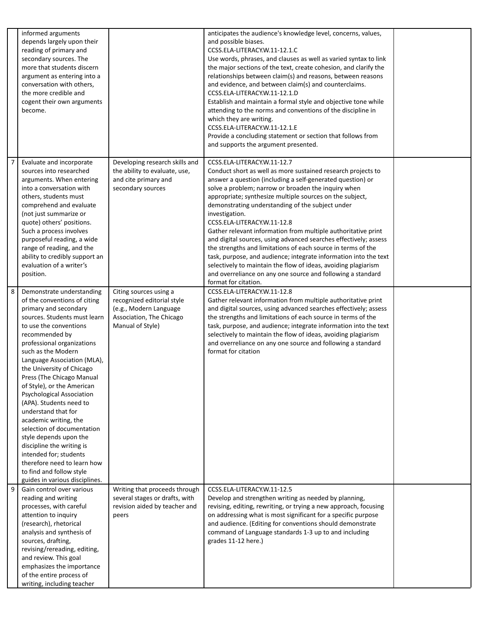|   | informed arguments<br>depends largely upon their<br>reading of primary and<br>secondary sources. The<br>more that students discern<br>argument as entering into a<br>conversation with others,<br>the more credible and<br>cogent their own arguments<br>become.                                                                                                                                                                                                                                                                                                                                                                                              |                                                                                                                                | anticipates the audience's knowledge level, concerns, values,<br>and possible biases.<br>CCSS.ELA-LITERACY.W.11-12.1.C<br>Use words, phrases, and clauses as well as varied syntax to link<br>the major sections of the text, create cohesion, and clarify the<br>relationships between claim(s) and reasons, between reasons<br>and evidence, and between claim(s) and counterclaims.<br>CCSS.ELA-LITERACY.W.11-12.1.D<br>Establish and maintain a formal style and objective tone while<br>attending to the norms and conventions of the discipline in<br>which they are writing.<br>CCSS.ELA-LITERACY.W.11-12.1.E<br>Provide a concluding statement or section that follows from<br>and supports the argument presented.                                                                                         |  |
|---|---------------------------------------------------------------------------------------------------------------------------------------------------------------------------------------------------------------------------------------------------------------------------------------------------------------------------------------------------------------------------------------------------------------------------------------------------------------------------------------------------------------------------------------------------------------------------------------------------------------------------------------------------------------|--------------------------------------------------------------------------------------------------------------------------------|---------------------------------------------------------------------------------------------------------------------------------------------------------------------------------------------------------------------------------------------------------------------------------------------------------------------------------------------------------------------------------------------------------------------------------------------------------------------------------------------------------------------------------------------------------------------------------------------------------------------------------------------------------------------------------------------------------------------------------------------------------------------------------------------------------------------|--|
| 7 | Evaluate and incorporate<br>sources into researched<br>arguments. When entering<br>into a conversation with<br>others, students must<br>comprehend and evaluate<br>(not just summarize or<br>quote) others' positions.<br>Such a process involves<br>purposeful reading, a wide<br>range of reading, and the<br>ability to credibly support an<br>evaluation of a writer's<br>position.                                                                                                                                                                                                                                                                       | Developing research skills and<br>the ability to evaluate, use,<br>and cite primary and<br>secondary sources                   | CCSS.ELA-LITERACY.W.11-12.7<br>Conduct short as well as more sustained research projects to<br>answer a question (including a self-generated question) or<br>solve a problem; narrow or broaden the inquiry when<br>appropriate; synthesize multiple sources on the subject,<br>demonstrating understanding of the subject under<br>investigation.<br>CCSS.ELA-LITERACY.W.11-12.8<br>Gather relevant information from multiple authoritative print<br>and digital sources, using advanced searches effectively; assess<br>the strengths and limitations of each source in terms of the<br>task, purpose, and audience; integrate information into the text<br>selectively to maintain the flow of ideas, avoiding plagiarism<br>and overreliance on any one source and following a standard<br>format for citation. |  |
| 8 | Demonstrate understanding<br>of the conventions of citing<br>primary and secondary<br>sources. Students must learn<br>to use the conventions<br>recommended by<br>professional organizations<br>such as the Modern<br>Language Association (MLA),<br>the University of Chicago<br>Press (The Chicago Manual<br>of Style), or the American<br>Psychological Association<br>(APA). Students need to<br>understand that for<br>academic writing, the<br>selection of documentation<br>style depends upon the<br>discipline the writing is<br>intended for; students<br>therefore need to learn how<br>to find and follow style<br>guides in various disciplines. | Citing sources using a<br>recognized editorial style<br>(e.g., Modern Language<br>Association, The Chicago<br>Manual of Style) | CCSS.ELA-LITERACY.W.11-12.8<br>Gather relevant information from multiple authoritative print<br>and digital sources, using advanced searches effectively; assess<br>the strengths and limitations of each source in terms of the<br>task, purpose, and audience; integrate information into the text<br>selectively to maintain the flow of ideas, avoiding plagiarism<br>and overreliance on any one source and following a standard<br>format for citation                                                                                                                                                                                                                                                                                                                                                        |  |
| 9 | Gain control over various<br>reading and writing<br>processes, with careful<br>attention to inquiry<br>(research), rhetorical<br>analysis and synthesis of<br>sources, drafting,<br>revising/rereading, editing,<br>and review. This goal<br>emphasizes the importance<br>of the entire process of<br>writing, including teacher                                                                                                                                                                                                                                                                                                                              | Writing that proceeds through<br>several stages or drafts, with<br>revision aided by teacher and<br>peers                      | CCSS.ELA-LITERACY.W.11-12.5<br>Develop and strengthen writing as needed by planning,<br>revising, editing, rewriting, or trying a new approach, focusing<br>on addressing what is most significant for a specific purpose<br>and audience. (Editing for conventions should demonstrate<br>command of Language standards 1-3 up to and including<br>grades 11-12 here.)                                                                                                                                                                                                                                                                                                                                                                                                                                              |  |